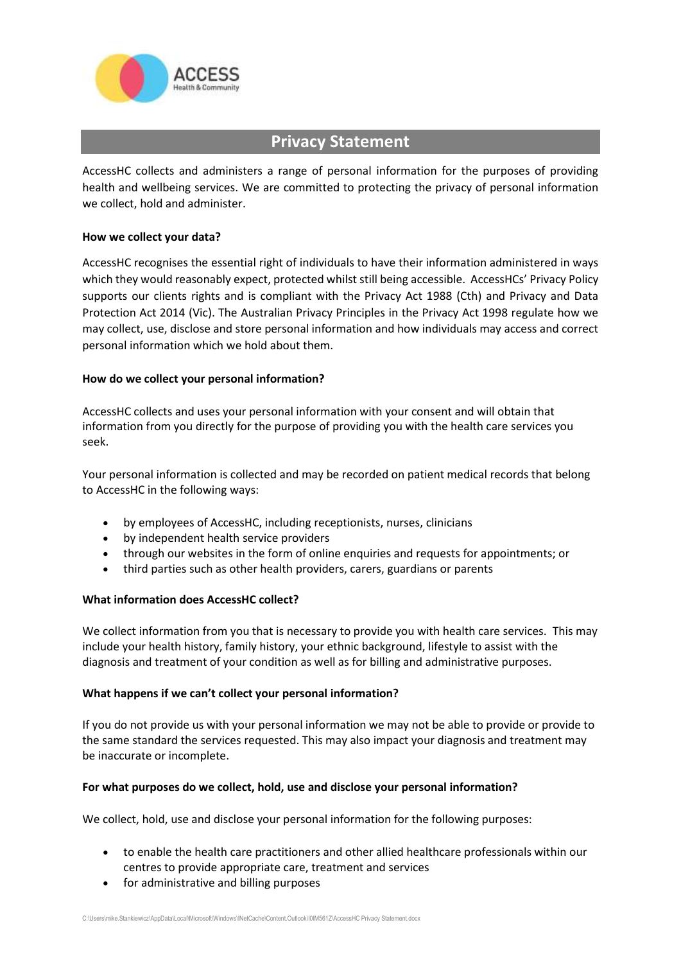

# **Privacy Statement**

AccessHC collects and administers a range of personal information for the purposes of providing health and wellbeing services. We are committed to protecting the privacy of personal information we collect, hold and administer.

### **How we collect your data?**

AccessHC recognises the essential right of individuals to have their information administered in ways which they would reasonably expect, protected whilst still being accessible. AccessHCs' Privacy Policy supports our clients rights and is compliant with the Privacy Act 1988 (Cth) and Privacy and Data Protection Act 2014 (Vic). The Australian Privacy Principles in the Privacy Act 1998 regulate how we may collect, use, disclose and store personal information and how individuals may access and correct personal information which we hold about them.

## **How do we collect your personal information?**

AccessHC collects and uses your personal information with your consent and will obtain that information from you directly for the purpose of providing you with the health care services you seek.

Your personal information is collected and may be recorded on patient medical records that belong to AccessHC in the following ways:

- by employees of AccessHC, including receptionists, nurses, clinicians
- by independent health service providers
- through our websites in the form of online enquiries and requests for appointments; or
- third parties such as other health providers, carers, guardians or parents

#### **What information does AccessHC collect?**

We collect information from you that is necessary to provide you with health care services. This may include your health history, family history, your ethnic background, lifestyle to assist with the diagnosis and treatment of your condition as well as for billing and administrative purposes.

#### **What happens if we can't collect your personal information?**

If you do not provide us with your personal information we may not be able to provide or provide to the same standard the services requested. This may also impact your diagnosis and treatment may be inaccurate or incomplete.

#### **For what purposes do we collect, hold, use and disclose your personal information?**

We collect, hold, use and disclose your personal information for the following purposes:

- to enable the health care practitioners and other allied healthcare professionals within our centres to provide appropriate care, treatment and services
- for administrative and billing purposes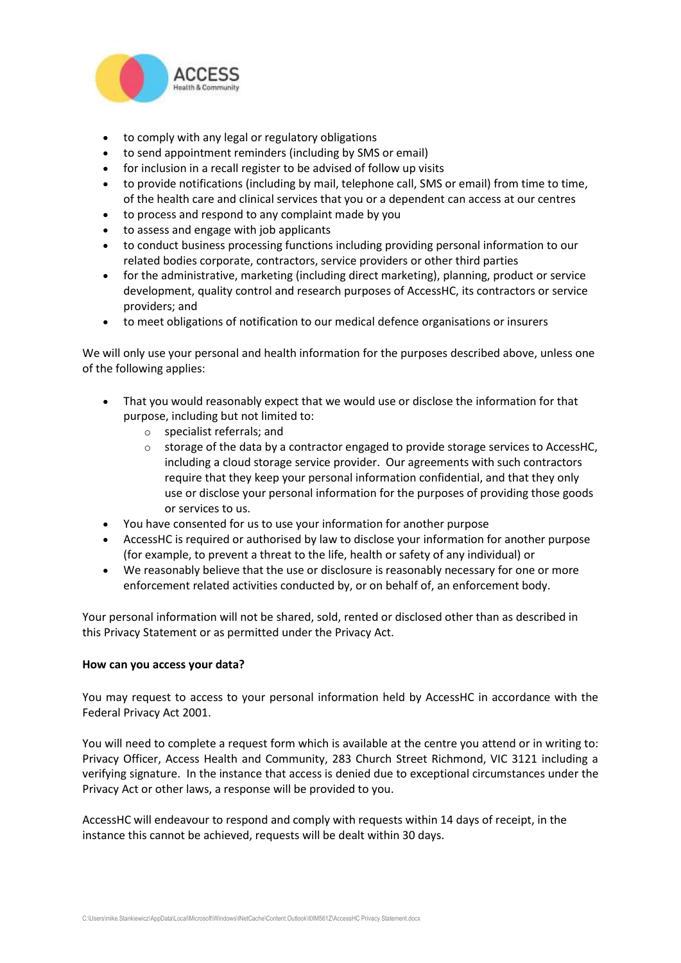

- to comply with any legal or regulatory obligations
- to send appointment reminders (including by SMS or email)
- for inclusion in a recall register to be advised of follow up visits
- to provide notifications (including by mail, telephone call, SMS or email) from time to time, of the health care and clinical services that you or a dependent can access at our centres
- to process and respond to any complaint made by you
- to assess and engage with job applicants
- to conduct business processing functions including providing personal information to our related bodies corporate, contractors, service providers or other third parties
- for the administrative, marketing (including direct marketing), planning, product or service development, quality control and research purposes of AccessHC, its contractors or service providers; and
- to meet obligations of notification to our medical defence organisations or insurers

We will only use your personal and health information for the purposes described above, unless one of the following applies:

- That you would reasonably expect that we would use or disclose the information for that purpose, including but not limited to:
	- o specialist referrals; and
	- o storage of the data by a contractor engaged to provide storage services to AccessHC, including a cloud storage service provider. Our agreements with such contractors require that they keep your personal information confidential, and that they only use or disclose your personal information for the purposes of providing those goods or services to us.
- You have consented for us to use your information for another purpose
- AccessHC is required or authorised by law to disclose your information for another purpose (for example, to prevent a threat to the life, health or safety of any individual) or
- We reasonably believe that the use or disclosure is reasonably necessary for one or more enforcement related activities conducted by, or on behalf of, an enforcement body.

Your personal information will not be shared, sold, rented or disclosed other than as described in this Privacy Statement or as permitted under the Privacy Act.

#### **How can you access your data?**

You may request to access to your personal information held by AccessHC in accordance with the Federal Privacy Act 2001.

You will need to complete a request form which is available at the centre you attend or in writing to: Privacy Officer, Access Health and Community, 283 Church Street Richmond, VIC 3121 including a verifying signature. In the instance that access is denied due to exceptional circumstances under the Privacy Act or other laws, a response will be provided to you.

AccessHC will endeavour to respond and comply with requests within 14 days of receipt, in the instance this cannot be achieved, requests will be dealt within 30 days.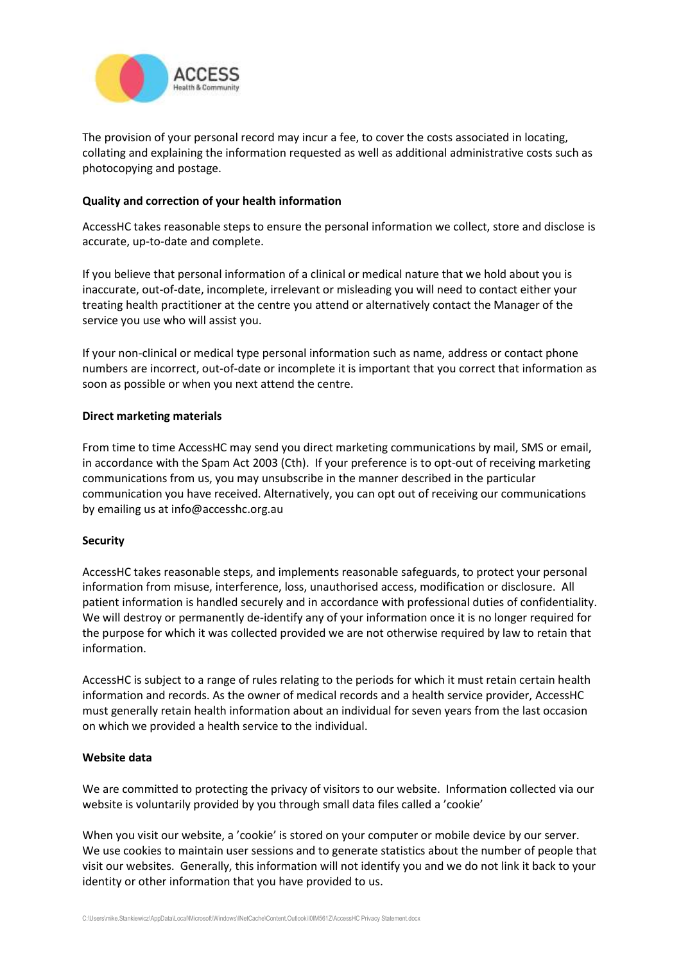

The provision of your personal record may incur a fee, to cover the costs associated in locating, collating and explaining the information requested as well as additional administrative costs such as photocopying and postage.

### **Quality and correction of your health information**

AccessHC takes reasonable steps to ensure the personal information we collect, store and disclose is accurate, up-to-date and complete.

If you believe that personal information of a clinical or medical nature that we hold about you is inaccurate, out-of-date, incomplete, irrelevant or misleading you will need to contact either your treating health practitioner at the centre you attend or alternatively contact the Manager of the service you use who will assist you.

If your non-clinical or medical type personal information such as name, address or contact phone numbers are incorrect, out-of-date or incomplete it is important that you correct that information as soon as possible or when you next attend the centre.

#### **Direct marketing materials**

From time to time AccessHC may send you direct marketing communications by mail, SMS or email, in accordance with the Spam Act 2003 (Cth). If your preference is to opt-out of receiving marketing communications from us, you may unsubscribe in the manner described in the particular communication you have received. Alternatively, you can opt out of receiving our communications by emailing us at info@accesshc.org.au

#### **Security**

AccessHC takes reasonable steps, and implements reasonable safeguards, to protect your personal information from misuse, interference, loss, unauthorised access, modification or disclosure. All patient information is handled securely and in accordance with professional duties of confidentiality. We will destroy or permanently de-identify any of your information once it is no longer required for the purpose for which it was collected provided we are not otherwise required by law to retain that information.

AccessHC is subject to a range of rules relating to the periods for which it must retain certain health information and records. As the owner of medical records and a health service provider, AccessHC must generally retain health information about an individual for seven years from the last occasion on which we provided a health service to the individual.

#### **Website data**

We are committed to protecting the privacy of visitors to our website. Information collected via our website is voluntarily provided by you through small data files called a 'cookie'

When you visit our website, a 'cookie' is stored on your computer or mobile device by our server. We use cookies to maintain user sessions and to generate statistics about the number of people that visit our websites. Generally, this information will not identify you and we do not link it back to your identity or other information that you have provided to us.